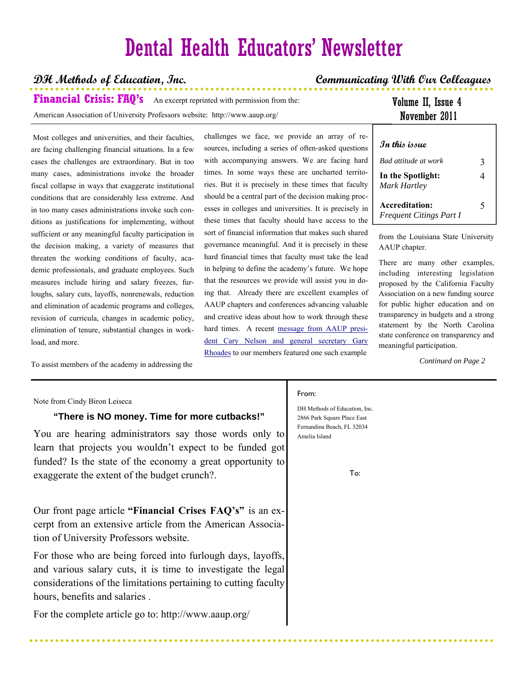# Dental Health Educators' Newsletter

### **DH Methods of Education, Inc. Communicating With Our Colleagues**

**Financial Crisis: FAQ's** An excerpt reprinted with permission from the: American Association of University Professors website: http://www.aaup.org/

### Volume II, Issue 4 November 2011

 Most colleges and universities, and their faculties, are facing challenging financial situations. In a few cases the challenges are extraordinary. But in too many cases, administrations invoke the broader fiscal collapse in ways that exaggerate institutional conditions that are considerably less extreme. And in too many cases administrations invoke such conditions as justifications for implementing, without sufficient or any meaningful faculty participation in the decision making, a variety of measures that threaten the working conditions of faculty, academic professionals, and graduate employees. Such measures include hiring and salary freezes, furloughs, salary cuts, layoffs, nonrenewals, reduction and elimination of academic programs and colleges, revision of curricula, changes in academic policy, elimination of tenure, substantial changes in workload, and more.

To assist members of the academy in addressing the

challenges we face, we provide an array of resources, including a series of often-asked questions with accompanying answers. We are facing hard times. In some ways these are uncharted territories. But it is precisely in these times that faculty should be a central part of the decision making processes in colleges and universities. It is precisely in these times that faculty should have access to the sort of financial information that makes such shared governance meaningful. And it is precisely in these hard financial times that faculty must take the lead in helping to define the academy's future. We hope that the resources we provide will assist you in doing that. Already there are excellent examples of AAUP chapters and conferences advancing valuable and creative ideas about how to work through these hard times. A recent message from AAUP president Cary Nelson and general secretary Gary Rhoades to our members featured one such example

| In this issue                                    |   |
|--------------------------------------------------|---|
| <b>Bad attitude at work</b>                      | 3 |
| In the Spotlight:<br>Mark Hartley                | 4 |
| Accreditation:<br><b>Frequent Citings Part I</b> | 5 |

from the Louisiana State University AAUP chapter.

There are many other examples, including interesting legislation proposed by the California Faculty Association on a new funding source for public higher education and on transparency in budgets and a strong statement by the North Carolina state conference on transparency and meaningful participation.

 *Continued on Page 2* 

### Note from Cindy Biron Leiseca

### **"There is NO money. Time for more cutbacks!"**

You are hearing administrators say those words only to learn that projects you wouldn't expect to be funded got funded? Is the state of the economy a great opportunity to exaggerate the extent of the budget crunch?.

Our front page article **"Financial Crises FAQ's"** is an excerpt from an extensive article from the American Association of University Professors website.

For those who are being forced into furlough days, layoffs, and various salary cuts, it is time to investigate the legal considerations of the limitations pertaining to cutting faculty hours, benefits and salaries .

For the complete article go to: http://www.aaup.org/

### From:

DH Methods of Education, Inc. 2866 Park Square Place East Fernandina Beach, FL 32034 Amelia Island

To: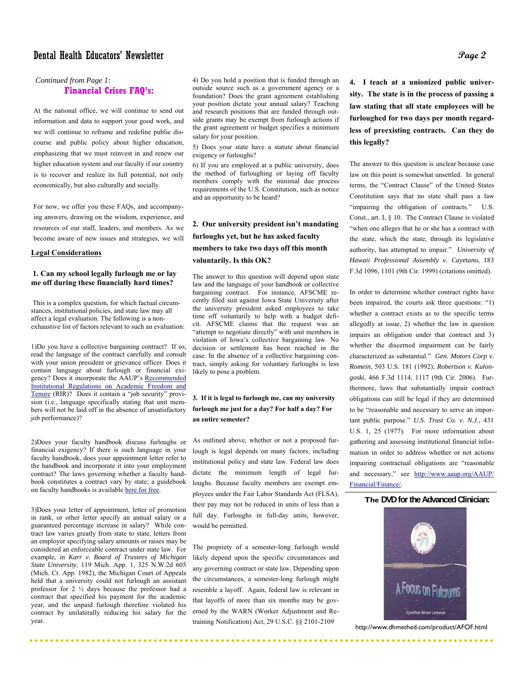### Dental Health Educators' Newsletter  $\cal{P}$

### *Continued from Page 1:*<br>**Financial Cr Financial Crises FAQ's:**

At the national office, we will continue to send out information and data to support your good work, and we will continue to reframe and redefine public discourse and public policy about higher education, emphasizing that we must reinvest in and renew our higher education system and our faculty if our country is to recover and realize its full potential, not only economically, but also culturally and socially.

For now, we offer you these FAQs, and accompanying answers, drawing on the wisdom, experience, and resources of our staff, leaders, and members. As we become aware of new issues and strategies, we will

#### **Legal Considerations**

### **1. Can my school legally furlough me or lay me off during these financially hard times?**

This is a complex question, for which factual circumstances, institutional policies, and state law may all affect a legal evaluation. The following is a nonexhaustive list of factors relevant to such an evaluation:

1)Do you have a collective bargaining contract? If so, read the language of the contract carefully and consult with your union president or grievance officer. Does it contain language about furlough or financial exigency? Does it incorporate the AAUP's Recommended Institutional Regulations on Academic Freedom and Tenure (RIR)? Does it contain a "job security" provision (i.e., language specifically stating that unit members will not be laid off in the absence of unsatisfactory job performance)?

2)Does your faculty handbook discuss furloughs or financial exigency? If there is such language in your faculty handbook, does your appointment letter refer to the handbook and incorporate it into your employment contract? The laws governing whether a faculty handbook constitutes a contract vary by state; a guidebook on faculty handbooks is available here for free.

3)Does your letter of appointment, letter of promotion in rank, or other letter specify an annual salary or a guaranteed percentage increase in salary? While contract law varies greatly from state to state, letters from an employer specifying salary amounts or raises may be considered an enforceable contract under state law. For example, in *Karr v. Board of Trustees of Michigan State University*, 119 Mich. App. 1, 325 N.W.2d 605 (Mich. Ct. App. 1982), the Michigan Court of Appeals held that a university could not furlough an assistant professor for 2 ½ days because the professor had a contract that specified his payment for the academic year, and the unpaid furlough therefore violated his contract by unilaterally reducing his salary for the year.

4) Do you hold a position that is funded through an outside source such as a government agency or a foundation? Does the grant agreement establishing your position dictate your annual salary? Teaching and research positions that are funded through outside grants may be exempt from furlough actions if the grant agreement or budget specifies a minimum salary for your position.

5) Does your state have a statute about financial exigency or furloughs?

6) If you are employed at a public university, does the method of furloughing or laying off faculty members comply with the minimal due process requirements of the U.S. Constitution, such as notice and an opportunity to be heard?

**2. Our university president isn't mandating furloughs yet, but he has asked faculty members to take two days off this month voluntarily. Is this OK?**

The answer to this question will depend upon state law and the language of your handbook or collective bargaining contract. For instance, AFSCME recently filed suit against Iowa State University after the university president asked employees to take time off voluntarily to help with a budget deficit. AFSCME claims that the request was an "attempt to negotiate directly" with unit members in violation of Iowa's collective bargaining law. No decision or settlement has been reached in the case. In the absence of a collective bargaining contract, simply asking for voluntary furloughs is less likely to pose a problem.

### **3. If it is legal to furlough me, can my university furlough me just for a day? For half a day? For an entire semester?**

As outlined above, whether or not a proposed furlough is legal depends on many factors, including institutional policy and state law. Federal law does dictate the minimum length of legal furloughs. Because faculty members are exempt employees under the Fair Labor Standards Act (FLSA), their pay may not be reduced in units of less than a full day. Furloughs in full-day units, however, would be permitted.

The propriety of a semester-long furlough would likely depend upon the specific circumstances and any governing contract or state law. Depending upon the circumstances, a semester-long furlough might resemble a layoff. Again, federal law is relevant in that layoffs of more than six months may be governed by the WARN (Worker Adjustment and Retraining Notification) Act, 29 U.S.C. §§ 2101-2109

**4. I teach at a unionized public university. The state is in the process of passing a law stating that all state employees will be furloughed for two days per month regardless of preexisting contracts. Can they do this legally?**

The answer to this question is unclear because case law on this point is somewhat unsettled. In general terms, the "Contract Clause" of the United States Constitution says that no state shall pass a law "impairing the obligation of contracts." U.S. Const., art. I, § 10. The Contract Clause is violated "when one alleges that he or she has a contract with the state, which the state, through its legislative authority, has attempted to impair." *University of Hawaii Professional Assembly v. Cayetano*, 183 F.3d 1096, 1101 (9th Cir. 1999) (citations omitted).

In order to determine whether contract rights have been impaired, the courts ask three questions: "1) whether a contract exists as to the specific terms allegedly at issue, 2) whether the law in question impairs an obligation under that contract and 3) whether the discerned impairment can be fairly characterized as substantial." *Gen. Motors Corp v. Romein*, 503 U.S. 181 (1992); *Robertson v. Kulongoski*, 466 F.3d 1114, 1117 (9th Cir. 2006). Furthermore, laws that substantially impair contract obligations can still be legal if they are determined to be "reasonable and necessary to serve an important public purpose." *U.S. Trust Co. v. N.J*., 431 U.S. 1, 25 (1977). For more information about gathering and assessing institutional financial information in order to address whether or not actions impairing contractual obligations are "reasonable and necessary," see http://www.aaup.org/AAUP/ Financial/Finance/.

### **The DVD for the Advanced Clinician:**



http://www.dhmethed.com/product/AFOF.html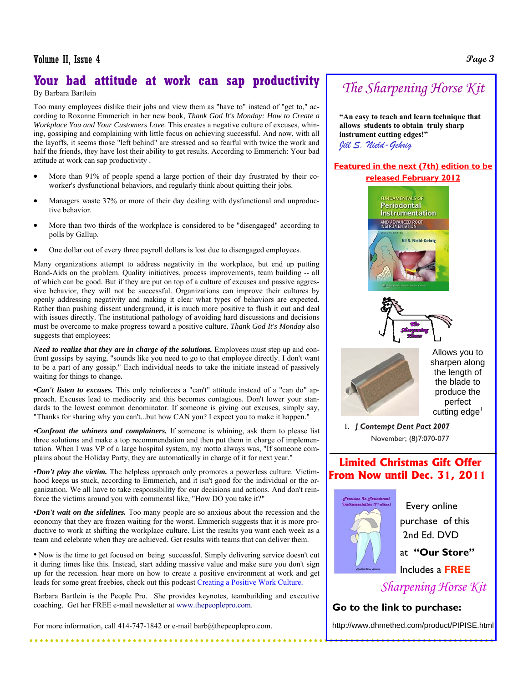## **Your bad attitude at work can sap productivity**

By Barbara Bartlein

Too many employees dislike their jobs and view them as "have to" instead of "get to," according to Roxanne Emmerich in her new book, *Thank God It's Monday: How to Create a Workplace You and Your Customers Love.* This creates a negative culture of excuses, whining, gossiping and complaining with little focus on achieving successful. And now, with all the layoffs, it seems those "left behind" are stressed and so fearful with twice the work and half the friends, they have lost their ability to get results. According to Emmerich: Your bad attitude at work can sap productivity .

- More than 91% of people spend a large portion of their day frustrated by their coworker's dysfunctional behaviors, and regularly think about quitting their jobs.
- Managers waste 37% or more of their day dealing with dysfunctional and unproductive behavior.
- More than two thirds of the workplace is considered to be "disengaged" according to polls by Gallup.
- One dollar out of every three payroll dollars is lost due to disengaged employees.

Many organizations attempt to address negativity in the workplace, but end up putting Band-Aids on the problem. Quality initiatives, process improvements, team building -- all of which can be good. But if they are put on top of a culture of excuses and passive aggressive behavior, they will not be successful. Organizations can improve their cultures by openly addressing negativity and making it clear what types of behaviors are expected. Rather than pushing dissent underground, it is much more positive to flush it out and deal with issues directly. The institutional pathology of avoiding hard discussions and decisions must be overcome to make progress toward a positive culture. *Thank God It's Monday* also suggests that employees:

*Need to realize that they are in charge of the solutions.* Employees must step up and confront gossips by saying, "sounds like you need to go to that employee directly. I don't want to be a part of any gossip." Each individual needs to take the initiate instead of passively waiting for things to change.

•*Can't listen to excuses.* This only reinforces a "can't" attitude instead of a "can do" approach. Excuses lead to mediocrity and this becomes contagious. Don't lower your standards to the lowest common denominator. If someone is giving out excuses, simply say, "Thanks for sharing why you can't...but how CAN you? I expect you to make it happen."

•*Confront the whiners and complainers.* If someone is whining, ask them to please list three solutions and make a top recommendation and then put them in charge of implementation. When I was VP of a large hospital system, my motto always was, "If someone complains about the Holiday Party, they are automatically in charge of it for next year."

•*Don't play the victim.* The helpless approach only promotes a powerless culture. Victimhood keeps us stuck, according to Emmerich, and it isn't good for the individual or the organization. We all have to take responsibility for our decisions and actions. And don't reinforce the victims around you with commentsl like, "How DO you take it?"

•*Don't wait on the sidelines.* Too many people are so anxious about the recession and the economy that they are frozen waiting for the worst. Emmerich suggests that it is more productive to work at shifting the workplace culture. List the results you want each week as a team and celebrate when they are achieved. Get results with teams that can deliver them.

• Now is the time to get focused on being successful. Simply delivering service doesn't cut it during times like this. Instead, start adding massive value and make sure you don't sign up for the recession. hear more on how to create a positive environment at work and get leads for some great freebies, check out this podcast Creating a Positive Work Culture.

Barbara Bartlein is the People Pro. She provides keynotes, teambuilding and executive coaching. Get her FREE e-mail newsletter at www.thepeoplepro.com.

For more information, call 414-747-1842 or e-mail barb@thepeoplepro.com.

## *The Sharpening Horse Kit*

**"An easy to teach and learn technique that allows students to obtain truly sharp instrument cutting edges!"**  *Jill S. Nield-Gehrig*

### **Featured in the next (7th) edition to be released February 2012**



Allows you to sharpen along the length of the blade to produce the perfect cutting  $edge<sup>1</sup>$ 

### **Limited Christmas Gift Offer From Now until Dec. 31, 2011**



 purchase of this 2nd Ed. DVD at **"Our Store"** Includes a **FREE**

*Sharpening Horse Kit* 

### **Go to the link to purchase:**

http://www.dhmethed.com/product/PIPISE.html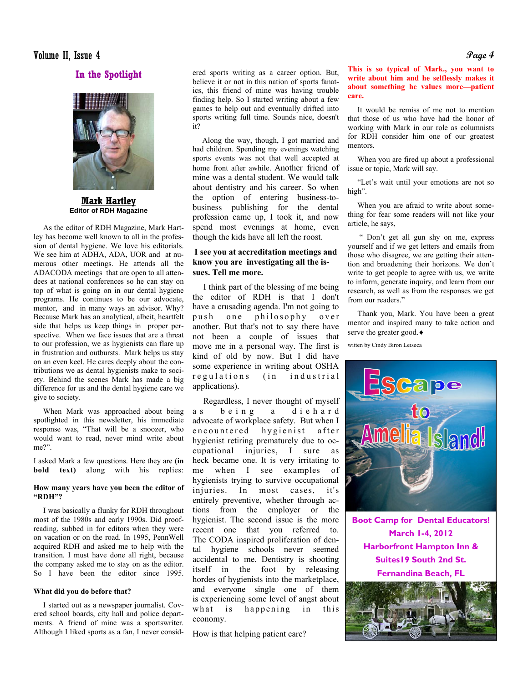### Volume II, Issue 4 **Page 4**

**In the Spotlight** 



**Mark Hartley Editor of RDH Magazine** 

 As the editor of RDH Magazine, Mark Hartley has become well known to all in the profession of dental hygiene. We love his editorials. We see him at ADHA, ADA, UOR and at numerous other meetings. He attends all the ADACODA meetings that are open to all attendees at national conferences so he can stay on top of what is going on in our dental hygiene programs. He continues to be our advocate, mentor, and in many ways an advisor. Why? Because Mark has an analytical, albeit, heartfelt side that helps us keep things in proper perspective. When we face issues that are a threat to our profession, we as hygienists can flare up in frustration and outbursts. Mark helps us stay on an even keel. He cares deeply about the contributions we as dental hygienists make to society. Behind the scenes Mark has made a big difference for us and the dental hygiene care we give to society.

 When Mark was approached about being spotlighted in this newsletter, his immediate response was, "That will be a snoozer, who would want to read, never mind write about me?".

I asked Mark a few questions. Here they are **(in bold text)** along with his replies:

### **How many years have you been the editor of "RDH"?**

 I was basically a flunky for RDH throughout most of the 1980s and early 1990s. Did proofreading, subbed in for editors when they were on vacation or on the road. In 1995, PennWell acquired RDH and asked me to help with the transition. I must have done all right, because the company asked me to stay on as the editor. So I have been the editor since 1995.

### **What did you do before that?**

 I started out as a newspaper journalist. Covered school boards, city hall and police departments. A friend of mine was a sportswriter. Although I liked sports as a fan, I never considered sports writing as a career option. But, believe it or not in this nation of sports fanatics, this friend of mine was having trouble finding help. So I started writing about a few games to help out and eventually drifted into sports writing full time. Sounds nice, doesn't it?

 Along the way, though, I got married and had children. Spending my evenings watching sports events was not that well accepted at home front after awhile. Another friend of mine was a dental student. We would talk about dentistry and his career. So when the option of entering business-tobusiness publishing for the dental profession came up, I took it, and now spend most evenings at home, even though the kids have all left the roost.

### **I see you at accreditation meetings and know you are investigating all the issues. Tell me more.**

 I think part of the blessing of me being the editor of RDH is that I don't have a crusading agenda. I'm not going to push one philosophy over another. But that's not to say there have not been a couple of issues that move me in a personal way. The first is kind of old by now. But I did have some experience in writing about OSHA regulations (in industrial applications).

 Regardless, I never thought of myself as being a diehard advocate of workplace safety. But when I en countered hygienist after hygienist retiring prematurely due to occupational injuries, I sure as heck became one. It is very irritating to me when I see examples of hygienists trying to survive occupational injuries. In most cases, it's entirely preventive, whether through actions from the employer or the hygienist. The second issue is the more recent one that you referred to. The CODA inspired proliferation of dental hygiene schools never seemed accidental to me. Dentistry is shooting itself in the foot by releasing hordes of hygienists into the marketplace, and everyone single one of them is experiencing some level of angst about what is happening in this economy.

How is that helping patient care?

**This is so typical of Mark., you want to write about him and he selflessly makes it about something he values more—patient care.**

 It would be remiss of me not to mention that those of us who have had the honor of working with Mark in our role as columnists for RDH consider him one of our greatest mentors.

 When you are fired up about a professional issue or topic, Mark will say.

 "Let's wait until your emotions are not so high".

 When you are afraid to write about something for fear some readers will not like your article, he says,

 " Don't get all gun shy on me, express yourself and if we get letters and emails from those who disagree, we are getting their attention and broadening their horizons. We don't write to get people to agree with us, we write to inform, generate inquiry, and learn from our research, as well as from the responses we get from our readers."

 Thank you, Mark. You have been a great mentor and inspired many to take action and serve the greater good. ♦

witten by Cindy Biron Leiseca



**Boot Camp for Dental Educators! March 1-4, 2012 Harborfront Hampton Inn & Suites19 South 2nd St. Fernandina Beach, FL** 

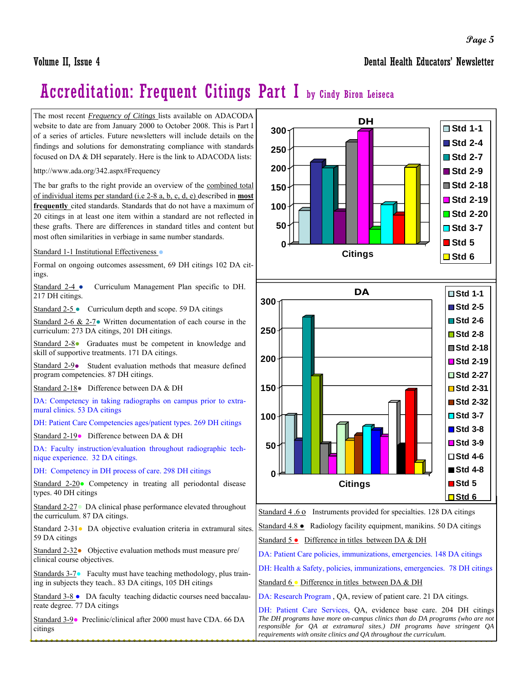Volume II, Issue 4 Dental Health Educators' Newsletter

# Accreditation: Frequent Citings Part I by Cindy Biron Leiseca

The most recent *Frequency of Citings* lists available on ADACODA website to date are from January 2000 to October 2008. This is Part I of a series of articles. Future newsletters will include details on the findings and solutions for demonstrating compliance with standards focused on DA & DH separately. Here is the link to ADACODA lists:

http://www.ada.org/342.aspx#Frequency

The bar grafts to the right provide an overview of the combined total of individual items per standard (i.e 2-8 a, b, c, d, e) described in **most frequently** cited standards. Standards that do not have a maximum of 20 citings in at least one item within a standard are not reflected in these grafts. There are differences in standard titles and content but most often similarities in verbiage in same number standards.

Standard 1-1 Institutional Effectiveness **●**

Formal on ongoing outcomes assessment, 69 DH citings 102 DA citings.

Standard 2-4 **●** Curriculum Management Plan specific to DH. 217 DH citings.

Standard 2-5 **●** Curriculum depth and scope. 59 DA citings

Standard 2-6 & 2-7**●** Written documentation of each course in the curriculum: 273 DA citings, 201 DH citings.

Standard 2-8● Graduates must be competent in knowledge and skill of supportive treatments. 171 DA citings.

Standard 2-9**●** Student evaluation methods that measure defined program competencies. 87 DH citings.

Standard 2-18**●** Difference between DA & DH

DA: Competency in taking radiographs on campus prior to extramural clinics. 53 DA citings

DH: Patient Care Competencies ages/patient types. 269 DH citings

Standard 2-19**●** Difference between DA & DH

DA: Faculty instruction/evaluation throughout radiographic technique experience. 32 DA citings.

DH: Competency in DH process of care. 298 DH citings

Standard 2-20**●** Competency in treating all periodontal disease types. 40 DH citings

Standard 2-27**●** DA clinical phase performance elevated throughout the curriculum. 87 DA citings.

Standard 2-31**●** DA objective evaluation criteria in extramural sites. 59 DA citings

Standard 2-32**●** Objective evaluation methods must measure pre/ clinical course objectives.

Standards 3-7**●** Faculty must have teaching methodology, plus training in subjects they teach.. 83 DA citings, 105 DH citings

Standard 3-8 **●** DA faculty teaching didactic courses need baccalaureate degree. 77 DA citings

Standard 3-9**●** Preclinic/clinical after 2000 must have CDA. 66 DA citings



Standard 4.6 o Instruments provided for specialties. 128 DA citings

Standard 4.8 **●** Radiology facility equipment, manikins. 50 DA citings

Standard 5 **●** Difference in titles between DA & DH

DA: Patient Care policies, immunizations, emergencies. 148 DA citings

DH: Health & Safety, policies, immunizations, emergencies. 78 DH citings

Standard 6 **●** Difference in titles between DA & DH

DA: Research Program , QA, review of patient care. 21 DA citings.

DH: Patient Care Services, QA, evidence base care. 204 DH citings *The DH programs have more on-campus clinics than do DA programs (who are not responsible for QA at extramural sites.) DH programs have stringent QA requirements with onsite clinics and QA throughout the curriculum.*